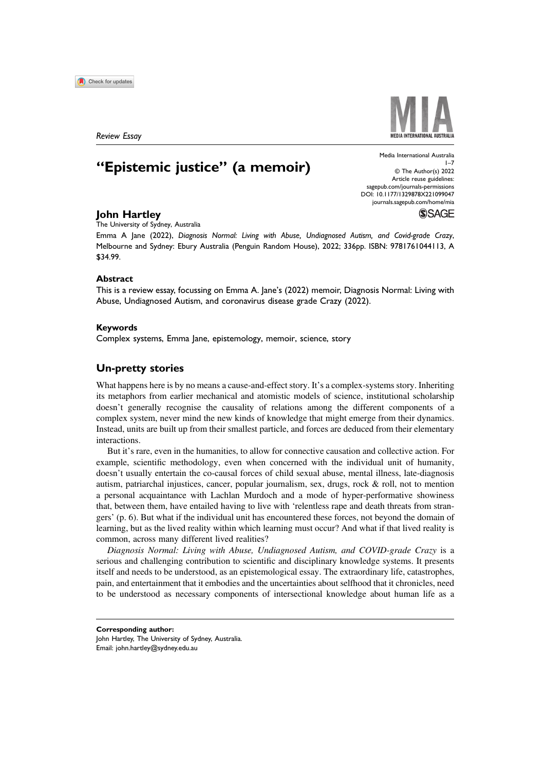

Review Essay

# "Epistemic justice" (a memoir)

Media International Australia  $1 - 7$ © The Author(s) 2022 Article reuse guidelines: [sagepub.com/journals-permissions](https://us.sagepub.com/en-us/journals-permissions) DOI: 10.1177/1329878X221099047 [journals.sagepub.com/home/mia](https://journals.sagepub.com/home/mia)

# John Hartley

The University of Sydney, Australia

Emma A Jane (2022), Diagnosis Normal: Living with Abuse, Undiagnosed Autism, and Covid-grade Crazy, Melbourne and Sydney: Ebury Australia (Penguin Random House), 2022; 336pp. ISBN: 9781761044113, A \$34.99.

#### Abstract

This is a review essay, focussing on Emma A. Jane's (2022) memoir, Diagnosis Normal: Living with Abuse, Undiagnosed Autism, and coronavirus disease grade Crazy (2022).

#### Keywords

Complex systems, Emma Jane, epistemology, memoir, science, story

# Un-pretty stories

What happens here is by no means a cause-and-effect story. It's a complex-systems story. Inheriting its metaphors from earlier mechanical and atomistic models of science, institutional scholarship doesn't generally recognise the causality of relations among the different components of a complex system, never mind the new kinds of knowledge that might emerge from their dynamics. Instead, units are built up from their smallest particle, and forces are deduced from their elementary interactions.

But it's rare, even in the humanities, to allow for connective causation and collective action. For example, scientific methodology, even when concerned with the individual unit of humanity, doesn't usually entertain the co-causal forces of child sexual abuse, mental illness, late-diagnosis autism, patriarchal injustices, cancer, popular journalism, sex, drugs, rock & roll, not to mention a personal acquaintance with Lachlan Murdoch and a mode of hyper-performative showiness that, between them, have entailed having to live with 'relentless rape and death threats from strangers' (p. 6). But what if the individual unit has encountered these forces, not beyond the domain of learning, but as the lived reality within which learning must occur? And what if that lived reality is common, across many different lived realities?

Diagnosis Normal: Living with Abuse, Undiagnosed Autism, and COVID-grade Crazy is a serious and challenging contribution to scientific and disciplinary knowledge systems. It presents itself and needs to be understood, as an epistemological essay. The extraordinary life, catastrophes, pain, and entertainment that it embodies and the uncertainties about selfhood that it chronicles, need to be understood as necessary components of intersectional knowledge about human life as a



**SSAGE** 

Corresponding author:

John Hartley, The University of Sydney, Australia. Email: john.hartley@sydney.edu.au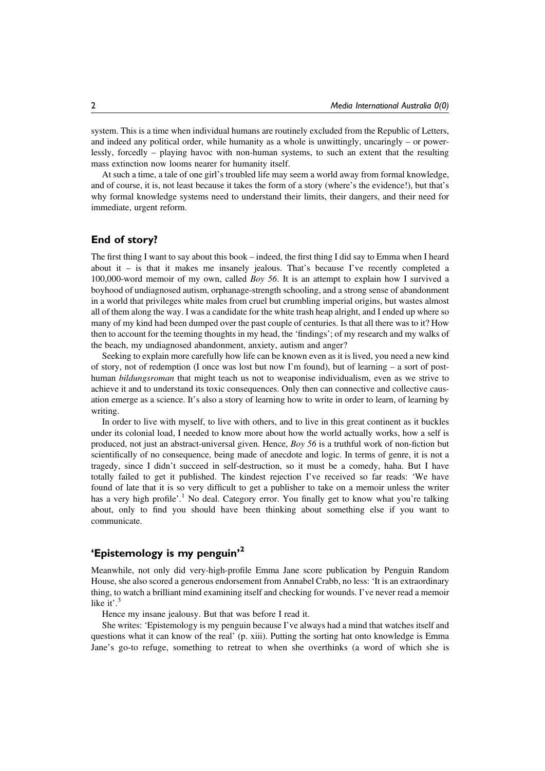system. This is a time when individual humans are routinely excluded from the Republic of Letters, and indeed any political order, while humanity as a whole is unwittingly, uncaringly – or powerlessly, forcedly – playing havoc with non-human systems, to such an extent that the resulting mass extinction now looms nearer for humanity itself.

At such a time, a tale of one girl's troubled life may seem a world away from formal knowledge, and of course, it is, not least because it takes the form of a story (where's the evidence!), but that's why formal knowledge systems need to understand their limits, their dangers, and their need for immediate, urgent reform.

# End of story?

The first thing I want to say about this book – indeed, the first thing I did say to Emma when I heard about it – is that it makes me insanely jealous. That's because I've recently completed a 100,000-word memoir of my own, called Boy 56. It is an attempt to explain how I survived a boyhood of undiagnosed autism, orphanage-strength schooling, and a strong sense of abandonment in a world that privileges white males from cruel but crumbling imperial origins, but wastes almost all of them along the way. I was a candidate for the white trash heap alright, and I ended up where so many of my kind had been dumped over the past couple of centuries. Is that all there was to it? How then to account for the teeming thoughts in my head, the 'findings'; of my research and my walks of the beach, my undiagnosed abandonment, anxiety, autism and anger?

Seeking to explain more carefully how life can be known even as it is lived, you need a new kind of story, not of redemption (I once was lost but now I'm found), but of learning – a sort of posthuman *bildungsroman* that might teach us not to weaponise individualism, even as we strive to achieve it and to understand its toxic consequences. Only then can connective and collective causation emerge as a science. It's also a story of learning how to write in order to learn, of learning by writing.

In order to live with myself, to live with others, and to live in this great continent as it buckles under its colonial load, I needed to know more about how the world actually works, how a self is produced, not just an abstract-universal given. Hence, Boy 56 is a truthful work of non-fiction but scientifically of no consequence, being made of anecdote and logic. In terms of genre, it is not a tragedy, since I didn't succeed in self-destruction, so it must be a comedy, haha. But I have totally failed to get it published. The kindest rejection I've received so far reads: 'We have found of late that it is so very difficult to get a publisher to take on a memoir unless the writer has a very high profile'.<sup>1</sup> No deal. Category error. You finally get to know what you're talking about, only to find you should have been thinking about something else if you want to communicate.

# 'Epistemology is my penguin' 2

Meanwhile, not only did very-high-profile Emma Jane score publication by Penguin Random House, she also scored a generous endorsement from Annabel Crabb, no less: 'It is an extraordinary thing, to watch a brilliant mind examining itself and checking for wounds. I've never read a memoir like it'.<sup>3</sup>

Hence my insane jealousy. But that was before I read it.

She writes: 'Epistemology is my penguin because I've always had a mind that watches itself and questions what it can know of the real' (p. xiii). Putting the sorting hat onto knowledge is Emma Jane's go-to refuge, something to retreat to when she overthinks (a word of which she is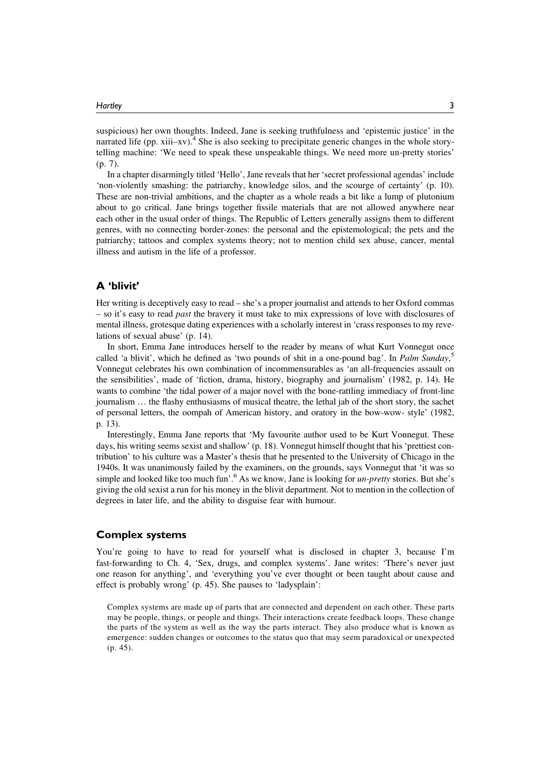suspicious) her own thoughts. Indeed, Jane is seeking truthfulness and 'epistemic justice' in the narrated life (pp.  $xiii–xv$ ).<sup>4</sup> She is also seeking to precipitate generic changes in the whole storytelling machine: 'We need to speak these unspeakable things. We need more un-pretty stories' (p. 7).

In a chapter disarmingly titled 'Hello', Jane reveals that her 'secret professional agendas' include 'non-violently smashing: the patriarchy, knowledge silos, and the scourge of certainty' (p. 10). These are non-trivial ambitions, and the chapter as a whole reads a bit like a lump of plutonium about to go critical. Jane brings together fissile materials that are not allowed anywhere near each other in the usual order of things. The Republic of Letters generally assigns them to different genres, with no connecting border-zones: the personal and the epistemological; the pets and the patriarchy; tattoos and complex systems theory; not to mention child sex abuse, cancer, mental illness and autism in the life of a professor.

#### A 'blivit'

Her writing is deceptively easy to read – she's a proper journalist and attends to her Oxford commas – so it's easy to read past the bravery it must take to mix expressions of love with disclosures of mental illness, grotesque dating experiences with a scholarly interest in 'crass responses to my revelations of sexual abuse' (p. 14).

In short, Emma Jane introduces herself to the reader by means of what Kurt Vonnegut once called 'a blivit', which he defined as 'two pounds of shit in a one-pound bag'. In Palm Sunday,<sup>5</sup> Vonnegut celebrates his own combination of incommensurables as 'an all-frequencies assault on the sensibilities', made of 'fiction, drama, history, biography and journalism' (1982, p. 14). He wants to combine 'the tidal power of a major novel with the bone-rattling immediacy of front-line journalism … the flashy enthusiasms of musical theatre, the lethal jab of the short story, the sachet of personal letters, the oompah of American history, and oratory in the bow-wow- style' (1982, p. 13).

Interestingly, Emma Jane reports that 'My favourite author used to be Kurt Vonnegut. These days, his writing seems sexist and shallow' (p. 18). Vonnegut himself thought that his 'prettiest contribution' to his culture was a Master's thesis that he presented to the University of Chicago in the 1940s. It was unanimously failed by the examiners, on the grounds, says Vonnegut that 'it was so simple and looked like too much fun'.<sup>6</sup> As we know, Jane is looking for *un-pretty* stories. But she's giving the old sexist a run for his money in the blivit department. Not to mention in the collection of degrees in later life, and the ability to disguise fear with humour.

#### Complex systems

You're going to have to read for yourself what is disclosed in chapter 3, because I'm fast-forwarding to Ch. 4, 'Sex, drugs, and complex systems'. Jane writes: 'There's never just one reason for anything', and 'everything you've ever thought or been taught about cause and effect is probably wrong' (p. 45). She pauses to 'ladysplain':

Complex systems are made up of parts that are connected and dependent on each other. These parts may be people, things, or people and things. Their interactions create feedback loops. These change the parts of the system as well as the way the parts interact. They also produce what is known as emergence: sudden changes or outcomes to the status quo that may seem paradoxical or unexpected (p. 45).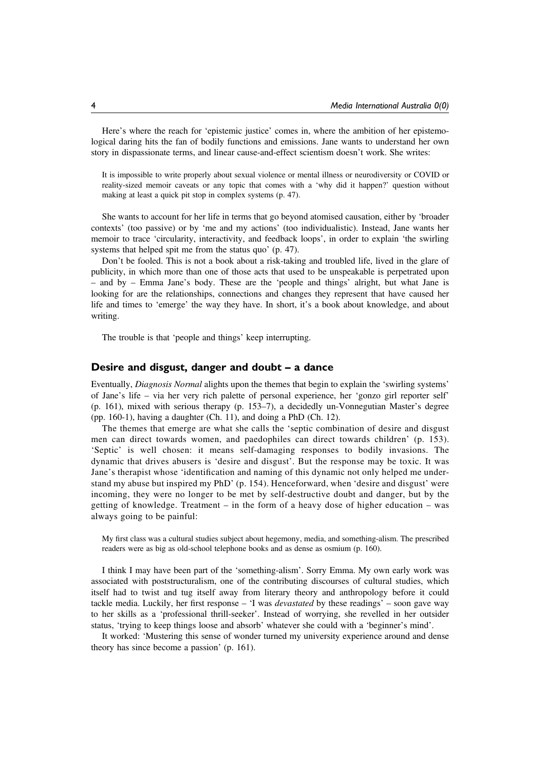Here's where the reach for 'epistemic justice' comes in, where the ambition of her epistemological daring hits the fan of bodily functions and emissions. Jane wants to understand her own story in dispassionate terms, and linear cause-and-effect scientism doesn't work. She writes:

It is impossible to write properly about sexual violence or mental illness or neurodiversity or COVID or reality-sized memoir caveats or any topic that comes with a 'why did it happen?' question without making at least a quick pit stop in complex systems (p. 47).

She wants to account for her life in terms that go beyond atomised causation, either by 'broader contexts' (too passive) or by 'me and my actions' (too individualistic). Instead, Jane wants her memoir to trace 'circularity, interactivity, and feedback loops', in order to explain 'the swirling systems that helped spit me from the status quo' (p. 47).

Don't be fooled. This is not a book about a risk-taking and troubled life, lived in the glare of publicity, in which more than one of those acts that used to be unspeakable is perpetrated upon – and by – Emma Jane's body. These are the 'people and things' alright, but what Jane is looking for are the relationships, connections and changes they represent that have caused her life and times to 'emerge' the way they have. In short, it's a book about knowledge, and about writing.

The trouble is that 'people and things' keep interrupting.

#### Desire and disgust, danger and doubt – a dance

Eventually, Diagnosis Normal alights upon the themes that begin to explain the 'swirling systems' of Jane's life – via her very rich palette of personal experience, her 'gonzo girl reporter self' (p. 161), mixed with serious therapy (p. 153–7), a decidedly un-Vonnegutian Master's degree (pp. 160-1), having a daughter (Ch. 11), and doing a PhD (Ch. 12).

The themes that emerge are what she calls the 'septic combination of desire and disgust men can direct towards women, and paedophiles can direct towards children' (p. 153). 'Septic' is well chosen: it means self-damaging responses to bodily invasions. The dynamic that drives abusers is 'desire and disgust'. But the response may be toxic. It was Jane's therapist whose 'identification and naming of this dynamic not only helped me understand my abuse but inspired my PhD' (p. 154). Henceforward, when 'desire and disgust' were incoming, they were no longer to be met by self-destructive doubt and danger, but by the getting of knowledge. Treatment – in the form of a heavy dose of higher education – was always going to be painful:

My first class was a cultural studies subject about hegemony, media, and something-alism. The prescribed readers were as big as old-school telephone books and as dense as osmium (p. 160).

I think I may have been part of the 'something-alism'. Sorry Emma. My own early work was associated with poststructuralism, one of the contributing discourses of cultural studies, which itself had to twist and tug itself away from literary theory and anthropology before it could tackle media. Luckily, her first response – 'I was devastated by these readings' – soon gave way to her skills as a 'professional thrill-seeker'. Instead of worrying, she revelled in her outsider status, 'trying to keep things loose and absorb' whatever she could with a 'beginner's mind'.

It worked: 'Mustering this sense of wonder turned my university experience around and dense theory has since become a passion' (p. 161).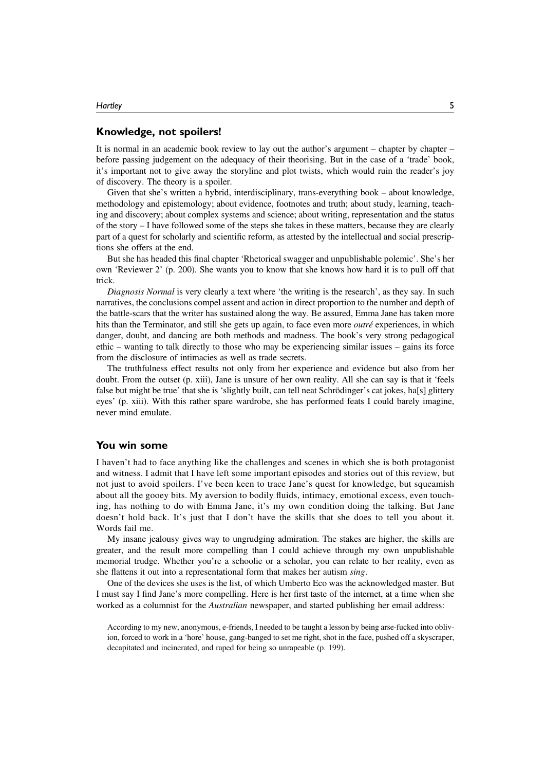#### Knowledge, not spoilers!

It is normal in an academic book review to lay out the author's argument – chapter by chapter – before passing judgement on the adequacy of their theorising. But in the case of a 'trade' book, it's important not to give away the storyline and plot twists, which would ruin the reader's joy of discovery. The theory is a spoiler.

Given that she's written a hybrid, interdisciplinary, trans-everything book – about knowledge, methodology and epistemology; about evidence, footnotes and truth; about study, learning, teaching and discovery; about complex systems and science; about writing, representation and the status of the story – I have followed some of the steps she takes in these matters, because they are clearly part of a quest for scholarly and scientific reform, as attested by the intellectual and social prescriptions she offers at the end.

But she has headed this final chapter 'Rhetorical swagger and unpublishable polemic'. She's her own 'Reviewer 2' (p. 200). She wants you to know that she knows how hard it is to pull off that trick.

Diagnosis Normal is very clearly a text where 'the writing is the research', as they say. In such narratives, the conclusions compel assent and action in direct proportion to the number and depth of the battle-scars that the writer has sustained along the way. Be assured, Emma Jane has taken more hits than the Terminator, and still she gets up again, to face even more *outré* experiences, in which danger, doubt, and dancing are both methods and madness. The book's very strong pedagogical ethic – wanting to talk directly to those who may be experiencing similar issues – gains its force from the disclosure of intimacies as well as trade secrets.

The truthfulness effect results not only from her experience and evidence but also from her doubt. From the outset (p. xiii), Jane is unsure of her own reality. All she can say is that it 'feels false but might be true' that she is 'slightly built, can tell neat Schrödinger's cat jokes, ha[s] glittery eyes' (p. xiii). With this rather spare wardrobe, she has performed feats I could barely imagine, never mind emulate.

#### You win some

I haven't had to face anything like the challenges and scenes in which she is both protagonist and witness. I admit that I have left some important episodes and stories out of this review, but not just to avoid spoilers. I've been keen to trace Jane's quest for knowledge, but squeamish about all the gooey bits. My aversion to bodily fluids, intimacy, emotional excess, even touching, has nothing to do with Emma Jane, it's my own condition doing the talking. But Jane doesn't hold back. It's just that I don't have the skills that she does to tell you about it. Words fail me.

My insane jealousy gives way to ungrudging admiration. The stakes are higher, the skills are greater, and the result more compelling than I could achieve through my own unpublishable memorial trudge. Whether you're a schoolie or a scholar, you can relate to her reality, even as she flattens it out into a representational form that makes her autism sing.

One of the devices she uses is the list, of which Umberto Eco was the acknowledged master. But I must say I find Jane's more compelling. Here is her first taste of the internet, at a time when she worked as a columnist for the *Australian* newspaper, and started publishing her email address:

According to my new, anonymous, e-friends, I needed to be taught a lesson by being arse-fucked into oblivion, forced to work in a 'hore' house, gang-banged to set me right, shot in the face, pushed off a skyscraper, decapitated and incinerated, and raped for being so unrapeable (p. 199).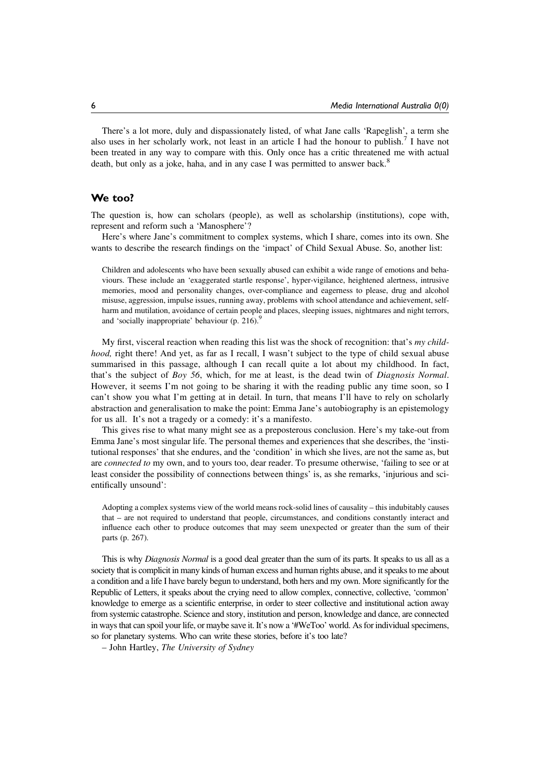There's a lot more, duly and dispassionately listed, of what Jane calls 'Rapeglish', a term she also uses in her scholarly work, not least in an article I had the honour to publish.<sup>7</sup> I have not been treated in any way to compare with this. Only once has a critic threatened me with actual death, but only as a joke, haha, and in any case I was permitted to answer back.<sup>8</sup>

### We too?

The question is, how can scholars (people), as well as scholarship (institutions), cope with, represent and reform such a 'Manosphere'?

Here's where Jane's commitment to complex systems, which I share, comes into its own. She wants to describe the research findings on the 'impact' of Child Sexual Abuse. So, another list:

Children and adolescents who have been sexually abused can exhibit a wide range of emotions and behaviours. These include an 'exaggerated startle response', hyper-vigilance, heightened alertness, intrusive memories, mood and personality changes, over-compliance and eagerness to please, drug and alcohol misuse, aggression, impulse issues, running away, problems with school attendance and achievement, selfharm and mutilation, avoidance of certain people and places, sleeping issues, nightmares and night terrors, and 'socially inappropriate' behaviour (p. 216).<sup>9</sup>

My first, visceral reaction when reading this list was the shock of recognition: that's  $my$  childhood, right there! And yet, as far as I recall, I wasn't subject to the type of child sexual abuse summarised in this passage, although I can recall quite a lot about my childhood. In fact, that's the subject of Boy 56, which, for me at least, is the dead twin of Diagnosis Normal. However, it seems I'm not going to be sharing it with the reading public any time soon, so I can't show you what I'm getting at in detail. In turn, that means I'll have to rely on scholarly abstraction and generalisation to make the point: Emma Jane's autobiography is an epistemology for us all. It's not a tragedy or a comedy: it's a manifesto.

This gives rise to what many might see as a preposterous conclusion. Here's my take-out from Emma Jane's most singular life. The personal themes and experiences that she describes, the 'institutional responses' that she endures, and the 'condition' in which she lives, are not the same as, but are *connected to* my own, and to yours too, dear reader. To presume otherwise, 'failing to see or at least consider the possibility of connections between things' is, as she remarks, 'injurious and scientifically unsound':

Adopting a complex systems view of the world means rock-solid lines of causality – this indubitably causes that – are not required to understand that people, circumstances, and conditions constantly interact and influence each other to produce outcomes that may seem unexpected or greater than the sum of their parts (p. 267).

This is why *Diagnosis Normal* is a good deal greater than the sum of its parts. It speaks to us all as a society that is complicit in many kinds of human excess and human rights abuse, and it speaks to me about a condition and a life I have barely begun to understand, both hers and my own. More significantly for the Republic of Letters, it speaks about the crying need to allow complex, connective, collective, 'common' knowledge to emerge as a scientific enterprise, in order to steer collective and institutional action away from systemic catastrophe. Science and story, institution and person, knowledge and dance, are connected in ways that can spoil your life, or maybe save it. It's now a '#WeToo' world. As for individual specimens, so for planetary systems. Who can write these stories, before it's too late?

– John Hartley, The University of Sydney